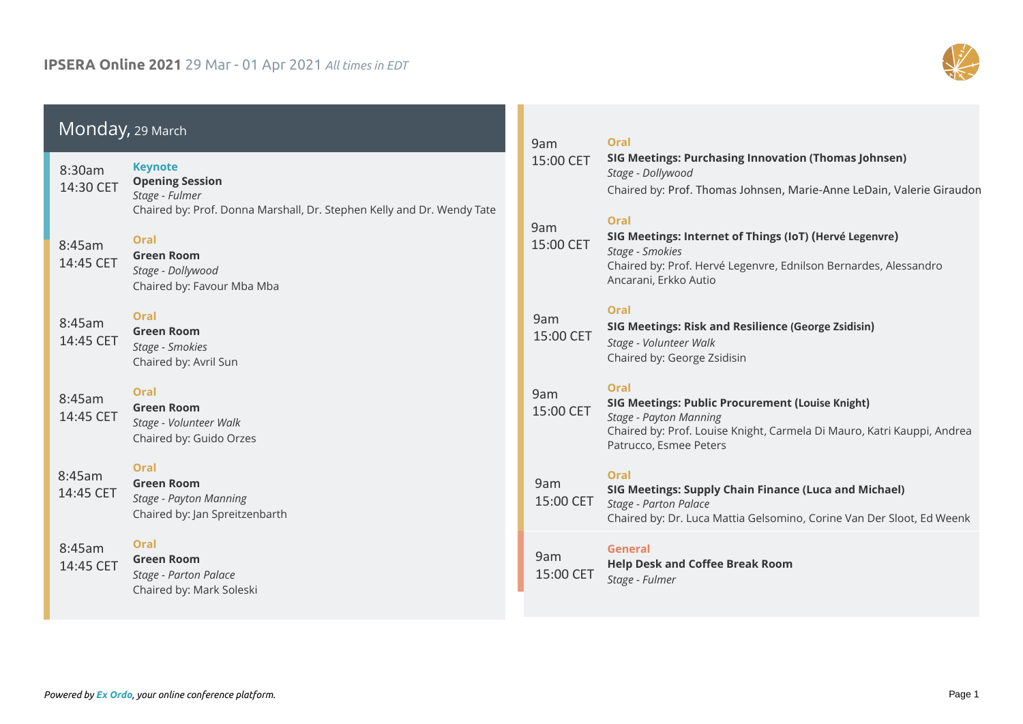

|                     | Monday, 29 March                                                                                                                                              |                  | Oral                                                                                                                                                                                                  |  |
|---------------------|---------------------------------------------------------------------------------------------------------------------------------------------------------------|------------------|-------------------------------------------------------------------------------------------------------------------------------------------------------------------------------------------------------|--|
| 8:30am<br>14:30 CET | <b>Keynote</b><br><b>Opening Session</b><br>Stage - Fulmer                                                                                                    | 15:00 CET        | SIG Meetings: Purchasing Innovation (Thomas Johnsen)<br>Stage - Dollywood<br>Chaired by: Prof. Thomas Johnsen, Marie-Anne LeDain, Valerie Giraudon                                                    |  |
| 8:45am<br>14:45 CET | Chaired by: Prof. Donna Marshall, Dr. Stephen Kelly and Dr. Wendy Tate<br><b>Oral</b><br><b>Green Room</b><br>Stage - Dollywood<br>Chaired by: Favour Mba Mba | 9am<br>15:00 CET | <b>Oral</b><br>SIG Meetings: Internet of Things (IoT) (Hervé Legenvre)<br>Stage - Smokies<br>Chaired by: Prof. Hervé Legenvre, Ednilson Bernardes, Alessandro<br>Ancarani, Erkko Autio                |  |
| 8:45am<br>14:45 CET | Oral<br><b>Green Room</b><br>Stage - Smokies<br>Chaired by: Avril Sun                                                                                         | 9am<br>15:00 CET | Oral<br>SIG Meetings: Risk and Resilience (George Zsidisin)<br>Stage - Volunteer Walk<br>Chaired by: George Zsidisin                                                                                  |  |
| 8:45am<br>14:45 CET | Oral<br><b>Green Room</b><br>Stage - Volunteer Walk<br>Chaired by: Guido Orzes                                                                                | 9am<br>15:00 CET | <b>Oral</b><br><b>SIG Meetings: Public Procurement (Louise Knight)</b><br>Stage - Payton Manning<br>Chaired by: Prof. Louise Knight, Carmela Di Mauro, Katri Kauppi, Andrea<br>Patrucco, Esmee Peters |  |
| 8:45am<br>14:45 CET | Oral<br><b>Green Room</b><br>Stage - Payton Manning<br>Chaired by: Jan Spreitzenbarth                                                                         | 9am<br>15:00 CET | Oral<br>SIG Meetings: Supply Chain Finance (Luca and Michael)<br>Stage - Parton Palace<br>Chaired by: Dr. Luca Mattia Gelsomino, Corine Van Der Sloot, Ed Weenk                                       |  |
| 8:45am<br>14:45 CET | Oral<br><b>Green Room</b><br>Stage - Parton Palace<br>Chaired by: Mark Soleski                                                                                | 9am<br>15:00 CET | General<br><b>Help Desk and Coffee Break Room</b><br>Stage - Fulmer                                                                                                                                   |  |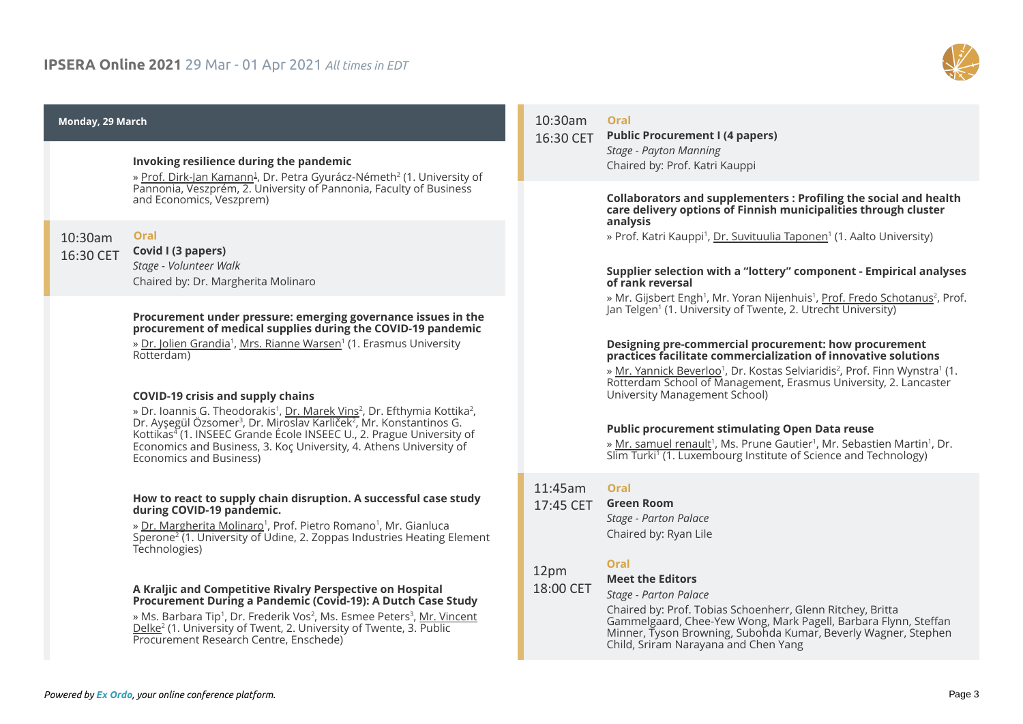

#### **Monday, 29 March**

#### **Invoking resilience during the pandemic**

» <u>Prof. Dirk-Jan Kamann<sup>1</sup>,</u> Dr. Petra Gyurácz-Németh<sup>2</sup> (1. University of Pannonia, Veszprém, 2. University of Pannonia, Faculty of Business and Economics, Veszprem)

 **Oral** 10:30am 16:30 CET

#### **Covid I (3 papers)**

*Stage - Volunteer Walk* Chaired by: Dr. Margherita Molinaro

#### **Procurement under pressure: emerging governance issues in the procurement of medical supplies during the COVID-19 pandemic**

» <u>Dr. Jolien Grandia</u><sup>1</sup>, <u>Mrs. Rianne Warsen</u>' (1. Erasmus University Rotterdam)

#### **COVID-19 crisis and supply chains**

» Dr. loannis G. Theodorakis<sup>1</sup>, <u>Dr. Marek Vins</u><sup>2</sup>, Dr. Efthymia Kottika<sup>2</sup>, Dr. Ayşegül Özsomer<sup>3</sup>, Dr. Miroslav Karliček<sup>2</sup>, Mr. Konstantinos G. Kottikas<sup>4</sup> (1. INSEEC Grande École INSEEC U., 2. Prague University of Economics and Business, 3. Koç University, 4. Athens University of Economics and Business)

#### **How to react to supply chain disruption. A successful case study during COVID-19 pandemic.**

» <u>Dr. Margherita Molinaro</u>', Prof. Pietro Romano', Mr. Gianluca Sperone<sup>2</sup> (1. University of Udine, 2. Zoppas Industries Heating Element Technologies)

#### **A Kraljic and Competitive Rivalry Perspective on Hospital Procurement During a Pandemic (Covid-19): A Dutch Case Study**

» Ms. Barbara Tip<sup>1</sup>, Dr. Frederik Vos<sup>2</sup>, Ms. Esmee Peters<sup>3</sup>, <u>Mr. Vincent</u> <u>Delke</u>² (1. University of Twent, 2. University of Twente, 3. Public Procurement Research Centre, Enschede)

# **Oral** 10:30am

**Public Procurement I (4 papers)** *Stage - Payton Manning* Chaired by: Prof. Katri Kauppi 16:30 CET

#### **Collaborators and supplementers : Profiling the social and health care delivery options of Finnish municipalities through cluster analysis**

» Prof. Katri Kauppi<sup>1</sup>, <u>Dr. Suvituulia Taponen</u>' (1. Aalto University)

#### **Supplier selection with a "lottery" component - Empirical analyses of rank reversal**

» Mr. Gijsbert Engh<sup>1</sup>, Mr. Yoran Nijenhuis<sup>1</sup>, <u>Prof. Fredo Schotanus</u><sup>2</sup>, Prof. Jan Telgen<sup>1</sup> (1. University of Twente, 2. Utrecht University)

#### **Designing pre-commercial procurement: how procurement practices facilitate commercialization of innovative solutions**

» <u>Mr. Yannick Beverloo</u>', Dr. Kostas Selviaridis<sup>2</sup>, Prof. Finn Wynstra' (1. Rotterdam School of Management, Erasmus University, 2. Lancaster University Management School)

#### **Public procurement stimulating Open Data reuse**

» <u>Mr. samuel renault</u>', Ms. Prune Gautier', Mr. Sebastien Martin', Dr. Slim Turki<sup>1</sup> (1. Luxembourg Institute of Science and Technology)

# **Oral** 11:45am

# **Green Room** 17:45 CET

*Stage - Parton Palace* Chaired by: Ryan Lile

#### **Oral**

#### 12pm 18:00 CET

# **Meet the Editors**

*Stage - Parton Palace*

Chaired by: Prof. Tobias Schoenherr, Glenn Ritchey, Britta Gammelgaard, Chee-Yew Wong, Mark Pagell, Barbara Flynn, Steffan Minner, Tyson Browning, Subohda Kumar, Beverly Wagner, Stephen Child, Sriram Narayana and Chen Yang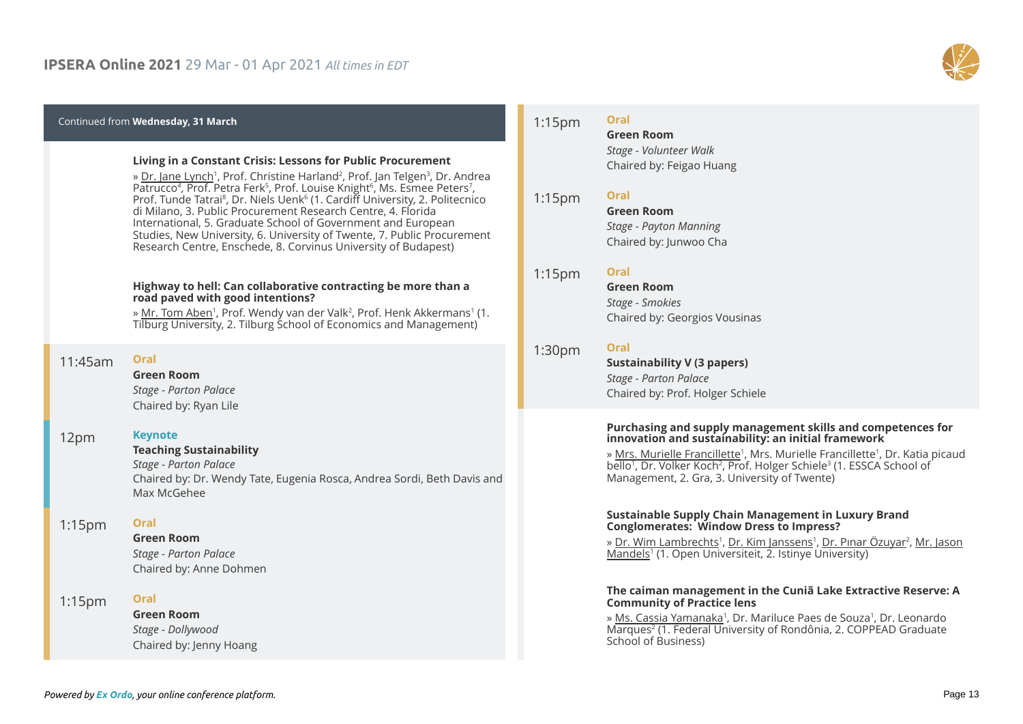

#### **Wednesday, 31 March**

#### **Living in a Constant Crisis: Lessons for Public Procurement**

» <u>Dr. Jane Lynch</u>', Prof. Christine Harland<sup>2</sup>, Prof. Jan Telgen<sup>3</sup>, Dr. Andrea Patrucco<sup>4</sup>, Prof. Petra Ferk<sup>5</sup>, Prof. Louise Knight<sup>6</sup>, Ms. Esmee Peters′, Prof. Tunde Tatrai $^8$ , Dr. Niels Uenk $^6$  (1. Cardiff University, 2. Politecnico di Milano, 3. Public Procurement Research Centre, 4. Florida International, 5. Graduate School of Government and European Studies, New University, 6. University of Twente, 7. Public Procurement Research Centre, Enschede, 8. Corvinus University of Budapest)

#### **Highway to hell: Can collaborative contracting be more than a road paved with good intentions?**

» <u>Mr. Tom Aben</u>', Prof. Wendy van der Valk<sup>2</sup>, Prof. Henk Akkermans' (1. Tilburg University, 2. Tilburg School of Economics and Management)

| <b>加</b> :30am<br>16:30 CET | Oral<br><b>Green Room</b><br>Stage - Parton Palace<br>Chaired by: Ryan Lile                                                                                         |
|-----------------------------|---------------------------------------------------------------------------------------------------------------------------------------------------------------------|
| 12pm<br>18:00 CET           | <b>Keynote</b><br><b>Teaching Sustainability</b><br>Stage - Parton Palace<br>Chaired by: Dr. Wendy Tate, Eugenia Rosca, Andrea Sordi, Beth Davis and<br>Max McGehee |
| $1:15$ pm<br>19:15 CET      | Oral<br><b>Green Room</b><br>Stage - Parton Palace<br>Chaired by: Anne Dohmen                                                                                       |
| $1:15$ pm<br>19:15 CET      | Oral<br><b>Green Room</b><br>Stage - Dollywood                                                                                                                      |

#### **Oral** 1:15pm

19:15 CET

1:15pm

1:15pm

**Green Room** *Stage - Volunteer Walk* Chaired by: Feigao Huang

### **Oral**

**Green Room** *Stage - Payton Manning* Chaired by: Junwoo Cha 19:15 CET

### **Oral**

**Green Room** *Stage - Smokies* Chaired by: Georgios Vousinas 19:15 CET

### **Oral**

**Sustainability V (3 papers)** *Stage - Parton Palace* Chaired by: Prof. Holger Schiele 1:30pm 19:30 CET

#### **Purchasing and supply management skills and competences for innovation and sustainability: an initial framework**

» <u>Mrs. Murielle Francillette</u>1, Mrs. Murielle Francillette<sup>1</sup>, Dr. Katia picaud bello<sup>1</sup>, Dr. Volker Koch<sup>2</sup>, Prof. Holger Schiele<sup>3</sup> (1. ESSCA School of Management, 2. Gra, 3. University of Twente)

#### **Sustainable Supply Chain Management in Luxury Brand Conglomerates: Window Dress to Impress?**

» <u>Dr. Wim Lambrechts</u>', <u>Dr. Kim Janssens</u>', <u>Dr. Pınar Özuyar<sup>2</sup>, Mr. Jason</u> <u>Mandels</u>1 (1. Open Universiteit, 2. Istinye University)

#### **The caiman management in the Cuniã Lake Extractive Reserve: A Community of Practice lens**

» <u>Ms. Cassia Yamanaka</u>', Dr. Mariluce Paes de Souza', Dr. Leonardo Marques<sup>2</sup> (1. Federal University of Rondônia, 2. COPPEAD Graduate School of Business)

Chaired by: Jenny Hoang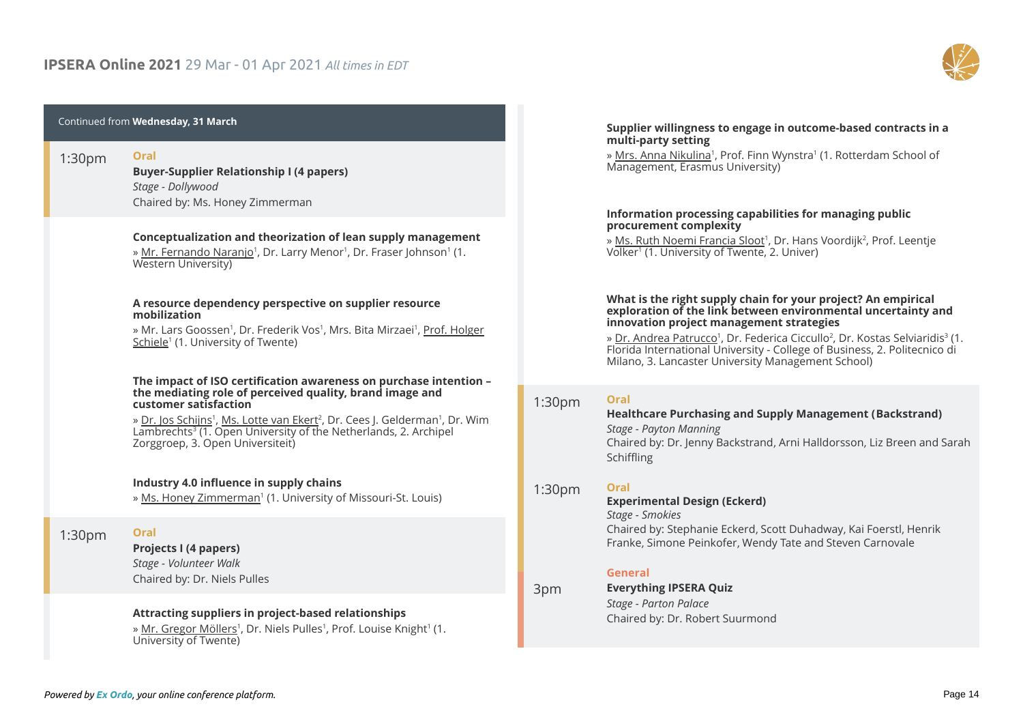

| <b>Wednesday, 31 March</b>      |                                                                                                                                                                                                                                                                                                                                                                                            |                                 | Supplier willingness to engage in outcome-based contracts in a<br>multi-party setting                                                                                                                                                                                                                                                                                                                                              |  |
|---------------------------------|--------------------------------------------------------------------------------------------------------------------------------------------------------------------------------------------------------------------------------------------------------------------------------------------------------------------------------------------------------------------------------------------|---------------------------------|------------------------------------------------------------------------------------------------------------------------------------------------------------------------------------------------------------------------------------------------------------------------------------------------------------------------------------------------------------------------------------------------------------------------------------|--|
| 1:30 <sub>pm</sub><br>19:30 CET | <b>Oral</b><br><b>Buyer-Supplier Relationship I (4 papers)</b><br>Stage - Dollywood                                                                                                                                                                                                                                                                                                        |                                 | » Mrs. Anna Nikulina <sup>1</sup> , Prof. Finn Wynstra <sup>1</sup> (1. Rotterdam School of<br>Management, Erasmus University)                                                                                                                                                                                                                                                                                                     |  |
|                                 | Chaired by: Ms. Honey Zimmerman<br>Conceptualization and theorization of lean supply management<br>» Mr. Fernando Naranjo <sup>1</sup> , Dr. Larry Menor <sup>1</sup> , Dr. Fraser Johnson <sup>1</sup> (1.<br>Western University)                                                                                                                                                         |                                 | Information processing capabilities for managing public<br>procurement complexity<br>» Ms. Ruth Noemi Francia Sloot <sup>1</sup> , Dr. Hans Voordijk <sup>2</sup> , Prof. Leentje<br>Volker <sup>1</sup> (1. University of Twente, 2. Univer)                                                                                                                                                                                      |  |
|                                 | A resource dependency perspective on supplier resource<br>mobilization<br>» Mr. Lars Goossen <sup>1</sup> , Dr. Frederik Vos <sup>1</sup> , Mrs. Bita Mirzaei <sup>1</sup> , Prof. Holger<br>Schiele <sup>1</sup> (1. University of Twente)                                                                                                                                                |                                 | What is the right supply chain for your project? An empirical<br>exploration of the link between environmental uncertainty and<br>innovation project management strategies<br>» Dr. Andrea Patrucco <sup>1</sup> , Dr. Federica Ciccullo <sup>2</sup> , Dr. Kostas Selviaridis <sup>3</sup> (1.<br>Florida International University - College of Business, 2. Politecnico di<br>Milano, 3. Lancaster University Management School) |  |
|                                 | The impact of ISO certification awareness on purchase intention -<br>the mediating role of perceived quality, brand image and<br>customer satisfaction<br>» Dr. Jos Schijns <sup>1</sup> , Ms. Lotte van Ekert <sup>2</sup> , Dr. Cees J. Gelderman <sup>1</sup> , Dr. Wim Lambrechts <sup>3</sup> (1. Open University of the Netherlands, 2. Archipel<br>Zorggroep, 3. Open Universiteit) | 1:30 <sub>pm</sub><br>19:30 CET | <b>Oral</b><br><b>Healthcare Purchasing and Supply Management (Backstrand)</b><br>Stage - Payton Manning<br>Chaired by: Dr. Jenny Backstrand, Arni Halldorsson, Liz Breen and Sarah<br>Schiffling                                                                                                                                                                                                                                  |  |
|                                 | Industry 4.0 influence in supply chains<br>» Ms. Honey Zimmerman <sup>1</sup> (1. University of Missouri-St. Louis)                                                                                                                                                                                                                                                                        | 1:30 <sub>pm</sub><br>19:30 CET | Oral<br><b>Experimental Design (Eckerd)</b><br>Stage - Smokies                                                                                                                                                                                                                                                                                                                                                                     |  |
| 1:30 <sub>pm</sub><br>19:30 CET | Oral<br>Projects I (4 papers)<br>Stage - Volunteer Walk<br>Chaired by: Dr. Niels Pulles                                                                                                                                                                                                                                                                                                    | 3pm                             | Chaired by: Stephanie Eckerd, Scott Duhadway, Kai Foerstl, Henrik<br>Franke, Simone Peinkofer, Wendy Tate and Steven Carnovale<br>General<br><b>Everything IPSERA Quiz</b>                                                                                                                                                                                                                                                         |  |
|                                 | Attracting suppliers in project-based relationships<br>» Mr. Gregor Möllers <sup>1</sup> , Dr. Niels Pulles <sup>1</sup> , Prof. Louise Knight <sup>1</sup> (1.<br>University of Twente)                                                                                                                                                                                                   | 21:00 CET                       | Stage - Parton Palace<br>Chaired by: Dr. Robert Suurmond                                                                                                                                                                                                                                                                                                                                                                           |  |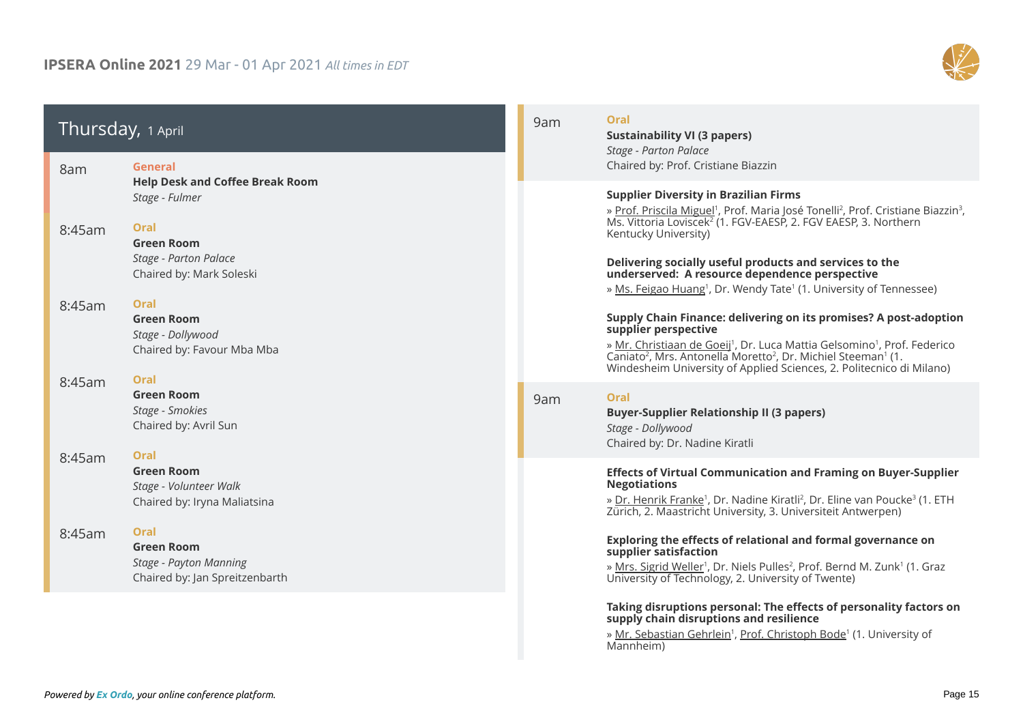# **IPSERA Online 2021** 29 Mar - 01 Apr 2021 *All times in EDT*



| Thursday, 1 April<br>8am         | General                                                                                                                                    | 9am<br>15:00 CET | Oral<br><b>Sustainability VI (3 papers)</b><br>Stage - Parton Palace<br>Chaired by: Prof. Cristiane Biazzin                                                                                                                                                                                                                                                                                                                                                              |
|----------------------------------|--------------------------------------------------------------------------------------------------------------------------------------------|------------------|--------------------------------------------------------------------------------------------------------------------------------------------------------------------------------------------------------------------------------------------------------------------------------------------------------------------------------------------------------------------------------------------------------------------------------------------------------------------------|
| 14:00 CET<br>8:45am<br>14:45 CET | <b>Help Desk and Coffee Break Room</b><br>Stage - Fulmer<br>Oral<br><b>Green Room</b><br>Stage - Parton Palace<br>Chaired by: Mark Soleski |                  | <b>Supplier Diversity in Brazilian Firms</b><br>» Prof. Priscila Miguel <sup>1</sup> , Prof. Maria José Tonelli <sup>2</sup> , Prof. Cristiane Biazzin <sup>3</sup> ,<br>Ms. Vittoria Loviscek <sup>2</sup> (1. FGV-EAESP, 2. FGV EAESP, 3. Northern<br>Kentucky University)<br>Delivering socially useful products and services to the<br>underserved: A resource dependence perspective                                                                                |
| 8:45am<br>14:45 CET              | <b>Oral</b><br><b>Green Room</b><br>Stage - Dollywood<br>Chaired by: Favour Mba Mba<br>Oral                                                |                  | » Ms. Feigao Huang <sup>1</sup> , Dr. Wendy Tate <sup>1</sup> (1. University of Tennessee)<br>Supply Chain Finance: delivering on its promises? A post-adoption<br>supplier perspective<br>» Mr. Christiaan de Goeij <sup>1</sup> , Dr. Luca Mattia Gelsomino <sup>1</sup> , Prof. Federico<br>Caniato <sup>2</sup> , Mrs. Antonella Moretto <sup>2</sup> , Dr. Michiel Steeman <sup>1</sup> (1.<br>Windesheim University of Applied Sciences, 2. Politecnico di Milano) |
| 8:45am<br>14:45 CET              | <b>Green Room</b><br>Stage - Smokies<br>Chaired by: Avril Sun<br>Oral                                                                      | 9am<br>15:00 CET | Oral<br><b>Buyer-Supplier Relationship II (3 papers)</b><br>Stage - Dollywood<br>Chaired by: Dr. Nadine Kiratli                                                                                                                                                                                                                                                                                                                                                          |
| 8:45am<br>14:45 CET              | <b>Green Room</b><br>Stage - Volunteer Walk<br>Chaired by: Iryna Maliatsina                                                                |                  | <b>Effects of Virtual Communication and Framing on Buyer-Supplier</b><br><b>Negotiations</b><br>» Dr. Henrik Franke <sup>1</sup> , Dr. Nadine Kiratli <sup>2</sup> , Dr. Eline van Poucke <sup>3</sup> (1. ETH<br>Zürich, 2. Maastricht University, 3. Universiteit Antwerpen)                                                                                                                                                                                           |
| 8:45am<br>14:45 CET              | <b>Oral</b><br><b>Green Room</b><br>Stage - Payton Manning<br>Chaired by: Jan Spreitzenbarth                                               |                  | Exploring the effects of relational and formal governance on<br>supplier satisfaction<br>» Mrs. Sigrid Weller <sup>1</sup> , Dr. Niels Pulles <sup>2</sup> , Prof. Bernd M. Zunk <sup>1</sup> (1. Graz<br>University of Technology, 2. University of Twente)                                                                                                                                                                                                             |
|                                  |                                                                                                                                            |                  | Taking disruptions personal: The effects of personality factors on<br>supply chain disruptions and resilience<br>» Mr. Sebastian Gehrlein <sup>1</sup> , Prof. Christoph Bode <sup>1</sup> (1. University of<br>Mannheim)                                                                                                                                                                                                                                                |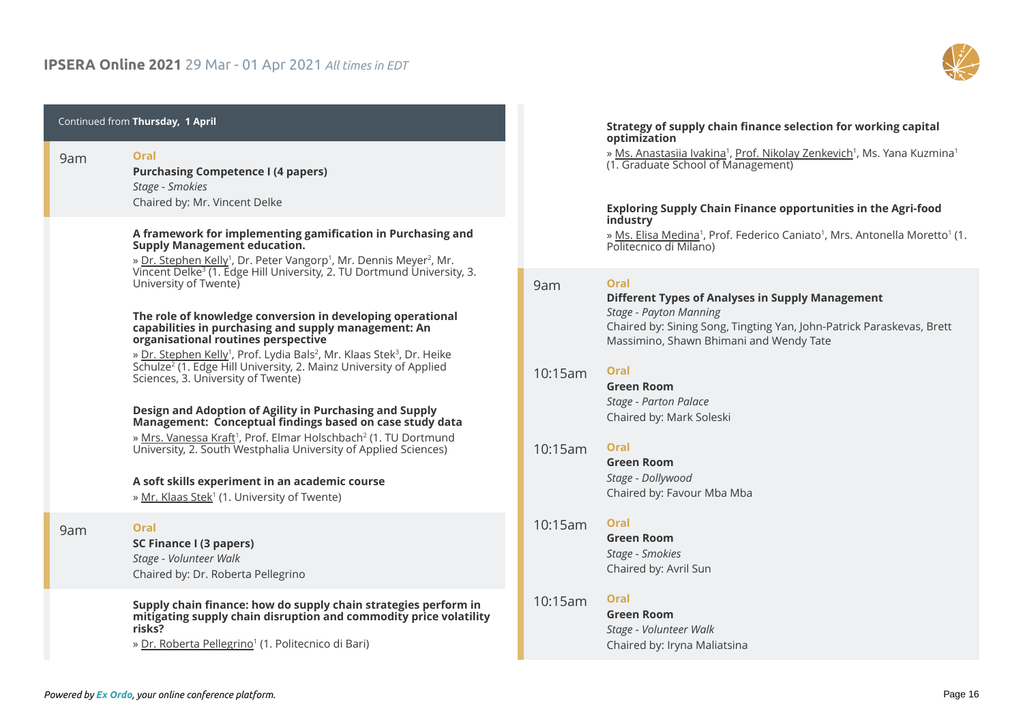

| Thursday, 1 April<br>Oral<br>9am<br><b>Purchasing Competence I (4 papers)</b><br>15:00 CET<br>Stage - Smokies<br>Chaired by: Mr. Vincent Delke<br>A framework for implementing gamification in Purchasing and<br><b>Supply Management education.</b><br>» Dr. Stephen Kelly <sup>1</sup> , Dr. Peter Vangorp <sup>1</sup> , Mr. Dennis Meyer <sup>2</sup> , Mr.<br>Vincent Delke <sup>3</sup> (1. Edge Hill University, 2. TU Dortmund University, 3.<br>University of Twente) |                                                                                                                                                                                                                                                                                                                                                                                                |
|--------------------------------------------------------------------------------------------------------------------------------------------------------------------------------------------------------------------------------------------------------------------------------------------------------------------------------------------------------------------------------------------------------------------------------------------------------------------------------|------------------------------------------------------------------------------------------------------------------------------------------------------------------------------------------------------------------------------------------------------------------------------------------------------------------------------------------------------------------------------------------------|
|                                                                                                                                                                                                                                                                                                                                                                                                                                                                                |                                                                                                                                                                                                                                                                                                                                                                                                |
|                                                                                                                                                                                                                                                                                                                                                                                                                                                                                |                                                                                                                                                                                                                                                                                                                                                                                                |
|                                                                                                                                                                                                                                                                                                                                                                                                                                                                                | The role of knowledge conversion in developing operational<br>capabilities in purchasing and supply management: An<br>organisational routines perspective<br>» Dr. Stephen Kelly <sup>1</sup> , Prof. Lydia Bals <sup>2</sup> , Mr. Klaas Stek <sup>3</sup> , Dr. Heike<br>Schulze <sup>2</sup> (1. Edge Hill University, 2. Mainz University of Applied<br>Sciences, 3. University of Twente) |
|                                                                                                                                                                                                                                                                                                                                                                                                                                                                                | Design and Adoption of Agility in Purchasing and Supply<br>Management: Conceptual findings based on case study data<br>» Mrs. Vanessa Kraft <sup>1</sup> , Prof. Elmar Holschbach <sup>2</sup> (1. TU Dortmund<br>University, 2. South Westphalia University of Applied Sciences)                                                                                                              |
|                                                                                                                                                                                                                                                                                                                                                                                                                                                                                | A soft skills experiment in an academic course<br>» Mr. Klaas Stek <sup>1</sup> (1. University of Twente)                                                                                                                                                                                                                                                                                      |
| 9am<br>15:00 CET                                                                                                                                                                                                                                                                                                                                                                                                                                                               | Oral<br>SC Finance I (3 papers)<br>Stage - Volunteer Walk<br>Chaired by: Dr. Roberta Pellegrino                                                                                                                                                                                                                                                                                                |
|                                                                                                                                                                                                                                                                                                                                                                                                                                                                                | Supply chain finance: how do supply chain strategies perform in<br>mitigating supply chain disruption and commodity price volatility<br>risks?<br>» Dr. Roberta Pellegrino <sup>1</sup> (1. Politecnico di Bari)                                                                                                                                                                               |

#### **Strategy of supply chain finance selection for working capital optimization**

» <u>Ms. Anastasiia Ivakina</u>1, <u>Prof. Nikolay Zenkevich</u>1, Ms. Yana Kuzmina<sup>1</sup> (1. Graduate School of Management)

#### **Exploring Supply Chain Finance opportunities in the Agri-food industry**

» <u>Ms. Elisa Medina</u>', Prof. Federico Caniato', Mrs. Antonella Moretto' (1. Politecnico di Milano)

#### **Oral** 9am

#### **Different Types of Analyses in Supply Management** *Stage - Payton Manning* Chaired by: Sining Song, Tingting Yan, John-Patrick Paraskevas, Brett Massimino, Shawn Bhimani and Wendy Tate 15:00 CET

# **Oral** 10:15am

| 16:15 CET | <b>Green Room</b>        |
|-----------|--------------------------|
|           | Stage - Parton Palace    |
|           | Chaired by: Mark Soleski |

# **Oral** 10:15am

| 16:15 CET | <b>Green Room</b>          |
|-----------|----------------------------|
|           | Stage - Dollywood          |
|           | Chaired by: Favour Mba Mba |

#### **Oral** 10:15am

**Green Room** *Stage - Smokies* Chaired by: Avril Sun 16:15 CET

### **Oral**

**Green Room** *Stage - Volunteer Walk* Chaired by: Iryna Maliatsina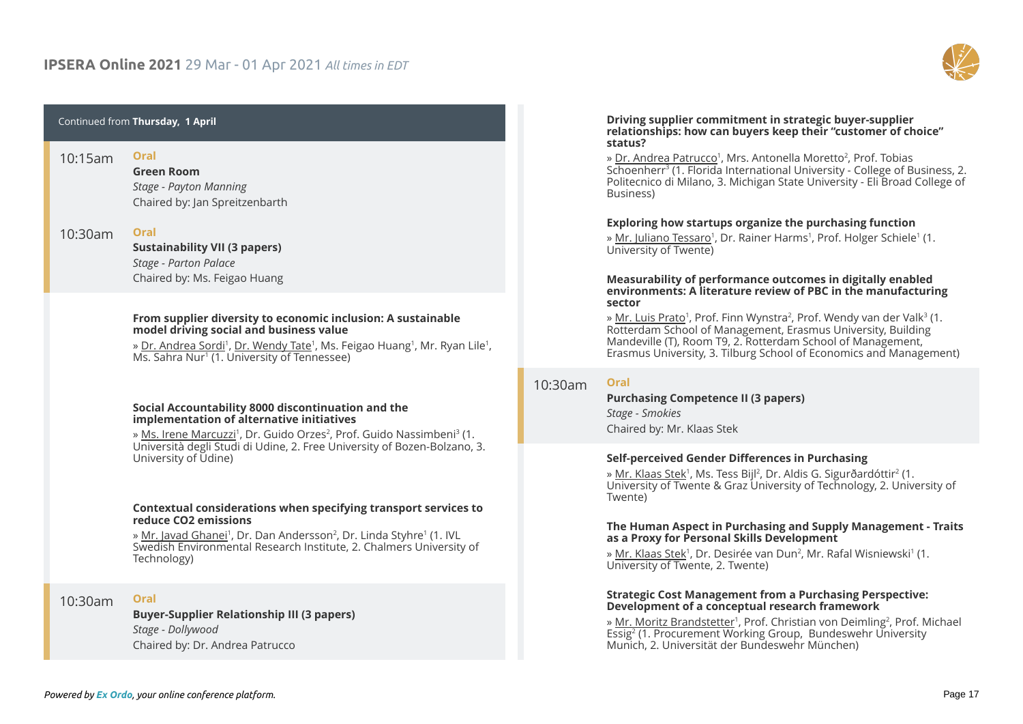

| Thursday, 1 April    |                                                                                                                                                                                                                                                                                                                   |  |
|----------------------|-------------------------------------------------------------------------------------------------------------------------------------------------------------------------------------------------------------------------------------------------------------------------------------------------------------------|--|
| 10:15am              | Oral<br><b>Green Room</b><br>Stage - Payton Manning<br>Chaired by: Jan Spreitzenbarth                                                                                                                                                                                                                             |  |
| 10:30am              | Oral<br><b>Sustainability VII (3 papers)</b><br>Stage - Parton Palace<br>Chaired by: Ms. Feigao Huang                                                                                                                                                                                                             |  |
| 10:15am<br>16:15 CET | From supplier diversity to economic inclusion: A sustainable<br>model driving social and business value<br>» Dr. Andrea Sordi <sup>1</sup> , Dr. Wendy Tate <sup>1</sup> , Ms. Feigao Huang <sup>1</sup> , Mr. Ryan Lile <sup>1</sup> ,<br>Ms. Sahra Nur <sup>1</sup> (1. University of Tennessee)                |  |
|                      | Social Accountability 8000 discontinuation and the<br>implementation of alternative initiatives<br>» Ms. Irene Marcuzzi <sup>1</sup> , Dr. Guido Orzes <sup>2</sup> , Prof. Guido Nassimbeni <sup>3</sup> (1.<br>Università degli Studi di Udine, 2. Free University of Bozen-Bolzano, 3.<br>University of Udine) |  |
|                      | Contextual considerations when specifying transport services to<br>reduce CO <sub>2</sub> emissions<br>» Mr. Javad Ghanei <sup>1</sup> , Dr. Dan Andersson <sup>2</sup> , Dr. Linda Styhre <sup>1</sup> (1. IVL<br>Swedish Environmental Research Institute, 2. Chalmers University of<br>Technology)             |  |
| 10:30am              | Oral<br><b>Buyer-Supplier Relationship III (3 papers)</b><br>Stage - Dollywood<br>Chaired by: Dr. Andrea Patrucco                                                                                                                                                                                                 |  |

#### **Driving supplier commitment in strategic buyer-supplier relationships: how can buyers keep their "customer of choice" status?**

» <u>Dr. Andrea Patrucco</u>', Mrs. Antonella Moretto<sup>2</sup>, Prof. Tobias Schoenherr<sup>3</sup> (1. Florida International University - College of Business, 2. Politecnico di Milano, 3. Michigan State University - Eli Broad College of Business)

#### **Exploring how startups organize the purchasing function**

» <u>Mr. Juliano Tessaro</u>', Dr. Rainer Harms', Prof. Holger Schiele' (1. University of Twente)

#### **Measurability of performance outcomes in digitally enabled environments: A literature review of PBC in the manufacturing sector**

» <u>Mr. Luis Prato</u>', Prof. Finn Wynstra<sup>2</sup>, Prof. Wendy van der Valk<sup>3</sup> (1. Rotterdam School of Management, Erasmus University, Building Mandeville (T), Room T9, 2. Rotterdam School of Management, Erasmus University, 3. Tilburg School of Economics and Management)

#### 10:30am **Oral**

#### **Purchasing Competence II (3 papers)** *Stage - Smokies* Chaired by: Mr. Klaas Stek

#### **Self-perceived Gender Differences in Purchasing**

» <u>Mr. Klaas Stek</u>', Ms. Tess Bijl<sup>2</sup>, Dr. Aldis G. Sigurðardóttir<sup>2</sup> (1. University of Twente & Graz University of Technology, 2. University of Twente)

#### **The Human Aspect in Purchasing and Supply Management - Traits as a Proxy for Personal Skills Development**

» <u>Mr. Klaas Stek</u>', Dr. Desirée van Dun<sup>2</sup>, Mr. Rafal Wisniewski' (1. University of Twente, 2. Twente)

#### **Strategic Cost Management from a Purchasing Perspective: Development of a conceptual research framework**

» <u>Mr. Moritz Brandstetter</u>', Prof. Christian von Deimling<sup>2</sup>, Prof. Michael Essig<sup>2</sup> (1. Procurement Working Group, Bundeswehr University Munich, 2. Universität der Bundeswehr München)